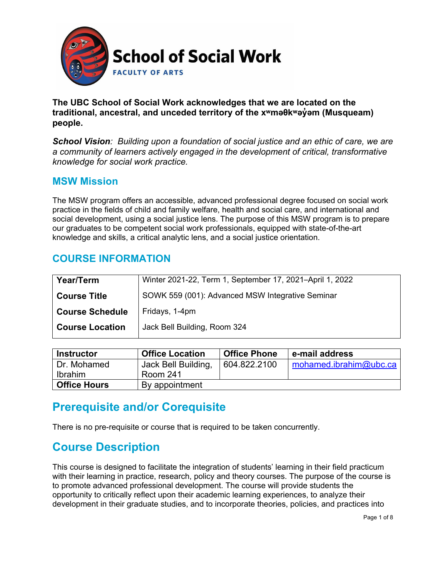

**The UBC School of Social Work acknowledges that we are located on the traditional, ancestral, and unceded territory of the [xʷməθkʷəy̓əm](http://www.musqueam.bc.ca/) (Musqueam) people.**

*School Vision: Building upon a foundation of social justice and an ethic of care, we are a community of learners actively engaged in the development of critical, transformative knowledge for social work practice.*

### **MSW Mission**

The MSW program offers an accessible, advanced professional degree focused on social work practice in the fields of child and family welfare, health and social care, and international and social development, using a social justice lens. The purpose of this MSW program is to prepare our graduates to be competent social work professionals, equipped with state-of-the-art knowledge and skills, a critical analytic lens, and a social justice orientation.

### **COURSE INFORMATION**

| Year/Term              | Winter 2021-22, Term 1, September 17, 2021-April 1, 2022 |
|------------------------|----------------------------------------------------------|
| <b>Course Title</b>    | SOWK 559 (001): Advanced MSW Integrative Seminar         |
| <b>Course Schedule</b> | Fridays, 1-4pm                                           |
| <b>Course Location</b> | Jack Bell Building, Room 324                             |

| <b>Instructor</b>   | <b>Office Location</b> | <b>Office Phone</b> | e-mail address         |
|---------------------|------------------------|---------------------|------------------------|
| Dr. Mohamed         | Jack Bell Building,    | 604.822.2100        | mohamed.ibrahim@ubc.ca |
| Ibrahim             | <b>Room 241</b>        |                     |                        |
| <b>Office Hours</b> | By appointment         |                     |                        |

## **Prerequisite and/or Corequisite**

There is no pre-requisite or course that is required to be taken concurrently.

## **Course Description**

This course is designed to facilitate the integration of students' learning in their field practicum with their learning in practice, research, policy and theory courses. The purpose of the course is to promote advanced professional development. The course will provide students the opportunity to critically reflect upon their academic learning experiences, to analyze their development in their graduate studies, and to incorporate theories, policies, and practices into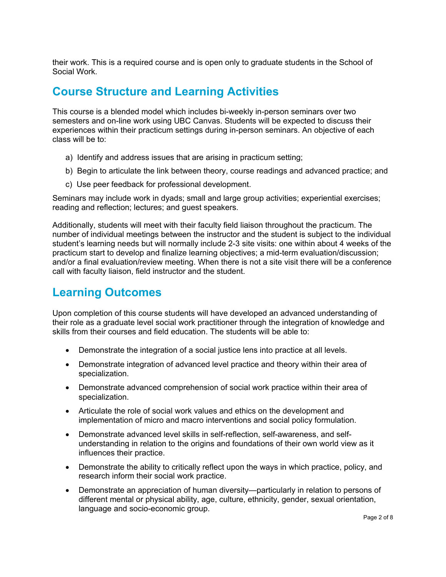their work. This is a required course and is open only to graduate students in the School of Social Work.

## **Course Structure and Learning Activities**

This course is a blended model which includes bi-weekly in-person seminars over two semesters and on-line work using UBC Canvas. Students will be expected to discuss their experiences within their practicum settings during in-person seminars. An objective of each class will be to:

- a) Identify and address issues that are arising in practicum setting;
- b) Begin to articulate the link between theory, course readings and advanced practice; and
- c) Use peer feedback for professional development.

Seminars may include work in dyads; small and large group activities; experiential exercises; reading and reflection; lectures; and guest speakers.

Additionally, students will meet with their faculty field liaison throughout the practicum. The number of individual meetings between the instructor and the student is subject to the individual student's learning needs but will normally include 2-3 site visits: one within about 4 weeks of the practicum start to develop and finalize learning objectives; a mid-term evaluation/discussion; and/or a final evaluation/review meeting. When there is not a site visit there will be a conference call with faculty liaison, field instructor and the student.

## **Learning Outcomes**

Upon completion of this course students will have developed an advanced understanding of their role as a graduate level social work practitioner through the integration of knowledge and skills from their courses and field education. The students will be able to:

- Demonstrate the integration of a social justice lens into practice at all levels.
- Demonstrate integration of advanced level practice and theory within their area of specialization.
- Demonstrate advanced comprehension of social work practice within their area of specialization.
- Articulate the role of social work values and ethics on the development and implementation of micro and macro interventions and social policy formulation.
- Demonstrate advanced level skills in self-reflection, self-awareness, and selfunderstanding in relation to the origins and foundations of their own world view as it influences their practice.
- Demonstrate the ability to critically reflect upon the ways in which practice, policy, and research inform their social work practice.
- Demonstrate an appreciation of human diversity—particularly in relation to persons of different mental or physical ability, age, culture, ethnicity, gender, sexual orientation, language and socio-economic group.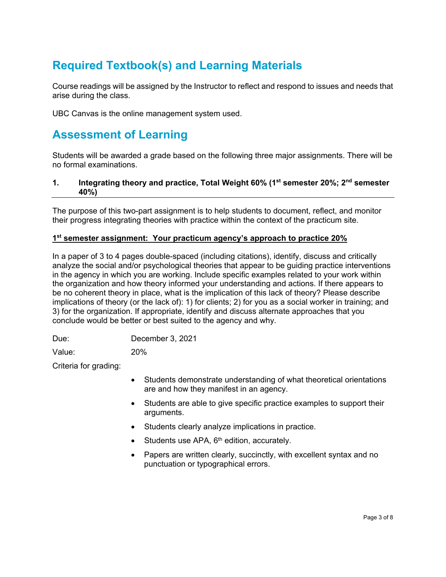## **Required Textbook(s) and Learning Materials**

Course readings will be assigned by the Instructor to reflect and respond to issues and needs that arise during the class.

UBC Canvas is the online management system used.

## **Assessment of Learning**

Students will be awarded a grade based on the following three major assignments. There will be no formal examinations.

### **1. Integrating theory and practice, Total Weight 60% (1st semester 20%; 2nd semester 40%)**

The purpose of this two-part assignment is to help students to document, reflect, and monitor their progress integrating theories with practice within the context of the practicum site.

#### **1st semester assignment: Your practicum agency's approach to practice 20%**

In a paper of 3 to 4 pages double-spaced (including citations), identify, discuss and critically analyze the social and/or psychological theories that appear to be guiding practice interventions in the agency in which you are working. Include specific examples related to your work within the organization and how theory informed your understanding and actions. If there appears to be no coherent theory in place, what is the implication of this lack of theory? Please describe implications of theory (or the lack of): 1) for clients; 2) for you as a social worker in training; and 3) for the organization. If appropriate, identify and discuss alternate approaches that you conclude would be better or best suited to the agency and why.

Due: December 3, 2021

Value: 20%

Criteria for grading:

- Students demonstrate understanding of what theoretical orientations are and how they manifest in an agency.
- Students are able to give specific practice examples to support their arguments.
- Students clearly analyze implications in practice.
- Students use APA, 6<sup>th</sup> edition, accurately.
- Papers are written clearly, succinctly, with excellent syntax and no punctuation or typographical errors.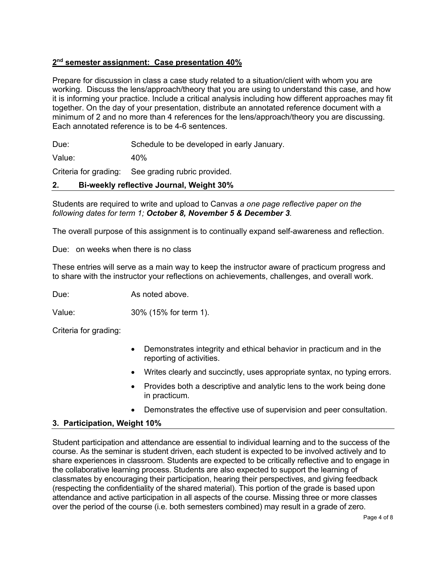### **2nd semester assignment: Case presentation 40%**

Prepare for discussion in class a case study related to a situation/client with whom you are working. Discuss the lens/approach/theory that you are using to understand this case, and how it is informing your practice. Include a critical analysis including how different approaches may fit together. On the day of your presentation, distribute an annotated reference document with a minimum of 2 and no more than 4 references for the lens/approach/theory you are discussing. Each annotated reference is to be 4-6 sentences.

Due: Schedule to be developed in early January.

Value: 40%

Criteria for grading: See grading rubric provided.

### **2. Bi-weekly reflective Journal, Weight 30%**

Students are required to write and upload to Canvas *a one page reflective paper on the following dates for term 1; October 8, November 5 & December 3.*

The overall purpose of this assignment is to continually expand self-awareness and reflection.

Due: on weeks when there is no class

These entries will serve as a main way to keep the instructor aware of practicum progress and to share with the instructor your reflections on achievements, challenges, and overall work.

Due: As noted above.

Value: 30% (15% for term 1).

Criteria for grading:

- Demonstrates integrity and ethical behavior in practicum and in the reporting of activities.
- Writes clearly and succinctly, uses appropriate syntax, no typing errors.
- Provides both a descriptive and analytic lens to the work being done in practicum.
- Demonstrates the effective use of supervision and peer consultation.

### **3. Participation, Weight 10%**

Student participation and attendance are essential to individual learning and to the success of the course. As the seminar is student driven, each student is expected to be involved actively and to share experiences in classroom. Students are expected to be critically reflective and to engage in the collaborative learning process. Students are also expected to support the learning of classmates by encouraging their participation, hearing their perspectives, and giving feedback (respecting the confidentiality of the shared material). This portion of the grade is based upon attendance and active participation in all aspects of the course. Missing three or more classes over the period of the course (i.e. both semesters combined) may result in a grade of zero.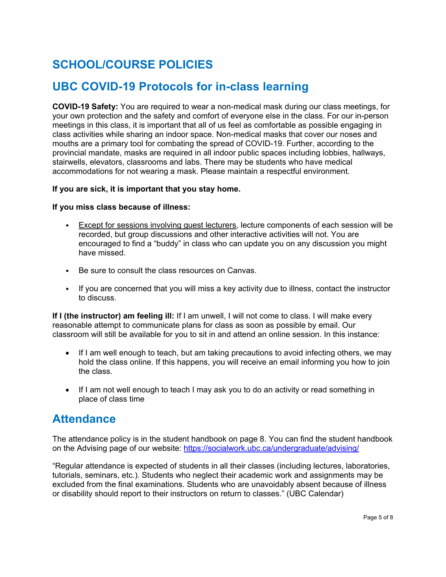# **SCHOOL/COURSE POLICIES**

## **UBC COVID-19 Protocols for in-class learning**

**COVID-19 Safety:** You are required to wear a non-medical mask during our class meetings, for your own protection and the safety and comfort of everyone else in the class. For our in-person meetings in this class, it is important that all of us feel as comfortable as possible engaging in class activities while sharing an indoor space. Non-medical masks that cover our noses and mouths are a primary tool for combating the spread of COVID-19. Further, according to the provincial mandate, masks are required in all indoor public spaces including lobbies, hallways, stairwells, elevators, classrooms and labs. There may be students who have medical accommodations for not wearing a mask. Please maintain a respectful environment.

#### **If you are sick, it is important that you stay home.**

#### **If you miss class because of illness:**

- Except for sessions involving guest lecturers, lecture components of each session will be recorded, but group discussions and other interactive activities will not. You are encouraged to find a "buddy" in class who can update you on any discussion you might have missed.
- Be sure to consult the class resources on Canvas.
- If you are concerned that you will miss a key activity due to illness, contact the instructor to discuss.

**If I (the instructor) am feeling ill:** If I am unwell, I will not come to class. I will make every reasonable attempt to communicate plans for class as soon as possible by email. Our classroom will still be available for you to sit in and attend an online session. In this instance:

- If I am well enough to teach, but am taking precautions to avoid infecting others, we may hold the class online. If this happens, you will receive an email informing you how to join the class.
- If I am not well enough to teach I may ask you to do an activity or read something in place of class time

## **Attendance**

The attendance policy is in the student handbook on page 8. You can find the student handbook on the Advising page of our website:<https://socialwork.ubc.ca/undergraduate/advising/>

"Regular attendance is expected of students in all their classes (including lectures, laboratories, tutorials, seminars, etc.). Students who neglect their academic work and assignments may be excluded from the final examinations. Students who are unavoidably absent because of illness or disability should report to their instructors on return to classes." (UBC Calendar)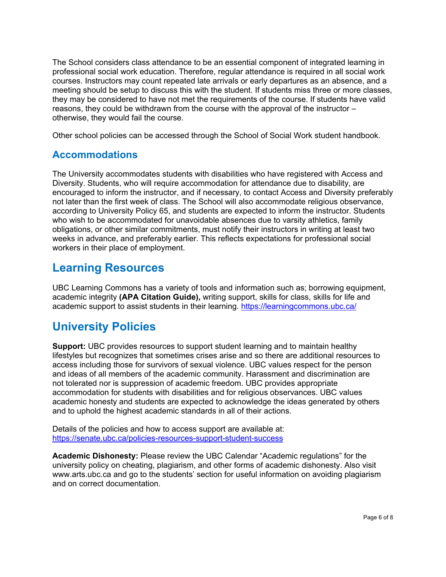The School considers class attendance to be an essential component of integrated learning in professional social work education. Therefore, regular attendance is required in all social work courses. Instructors may count repeated late arrivals or early departures as an absence, and a meeting should be setup to discuss this with the student. If students miss three or more classes, they may be considered to have not met the requirements of the course. If students have valid reasons, they could be withdrawn from the course with the approval of the instructor – otherwise, they would fail the course.

Other school policies can be accessed through the School of Social Work student handbook.

### **Accommodations**

The University accommodates students with disabilities who have registered with Access and Diversity. Students, who will require accommodation for attendance due to disability, are encouraged to inform the instructor, and if necessary, to contact Access and Diversity preferably not later than the first week of class. The School will also accommodate religious observance, according to University Policy 65, and students are expected to inform the instructor. Students who wish to be accommodated for unavoidable absences due to varsity athletics, family obligations, or other similar commitments, must notify their instructors in writing at least two weeks in advance, and preferably earlier. This reflects expectations for professional social workers in their place of employment.

## **Learning Resources**

UBC Learning Commons has a variety of tools and information such as; borrowing equipment, academic integrity **(APA Citation Guide),** writing support, skills for class, skills for life and academic support to assist students in their learning.<https://learningcommons.ubc.ca/>

## **University Policies**

**Support:** UBC provides resources to support student learning and to maintain healthy lifestyles but recognizes that sometimes crises arise and so there are additional resources to access including those for survivors of sexual violence. UBC values respect for the person and ideas of all members of the academic community. Harassment and discrimination are not tolerated nor is suppression of academic freedom. UBC provides appropriate accommodation for students with disabilities and for religious observances. UBC values academic honesty and students are expected to acknowledge the ideas generated by others and to uphold the highest academic standards in all of their actions.

Details of the policies and how to access support are available at: <https://senate.ubc.ca/policies-resources-support-student-success>

**Academic Dishonesty:** Please review the UBC Calendar "Academic regulations" for the university policy on cheating, plagiarism, and other forms of academic dishonesty. Also visit www.arts.ubc.ca and go to the students' section for useful information on avoiding plagiarism and on correct documentation.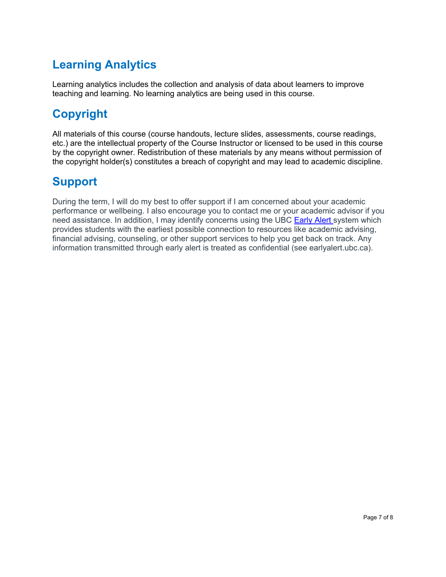# **Learning Analytics**

Learning analytics includes the collection and analysis of data about learners to improve teaching and learning. No learning analytics are being used in this course.

# **Copyright**

All materials of this course (course handouts, lecture slides, assessments, course readings, etc.) are the intellectual property of the Course Instructor or licensed to be used in this course by the copyright owner. Redistribution of these materials by any means without permission of the copyright holder(s) constitutes a breach of copyright and may lead to academic discipline.

# **Support**

During the term, I will do my best to offer support if I am concerned about your academic performance or wellbeing. I also encourage you to contact me or your academic advisor if you need assistance. In addition, I may identify concerns using the UBC [Early Alert s](http://earlyalert.ubc.ca/)ystem which provides students with the earliest possible connection to resources like academic advising, financial advising, counseling, or other support services to help you get back on track. Any information transmitted through early alert is treated as confidential (see earlyalert.ubc.ca).